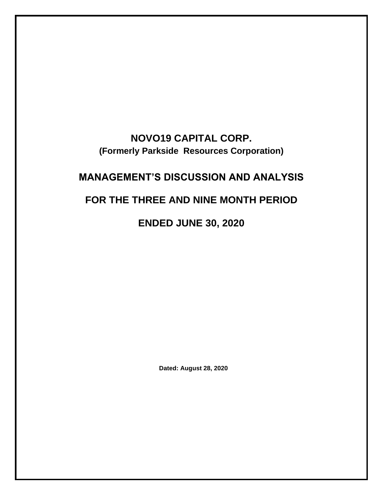# **NOVO19 CAPITAL CORP. (Formerly Parkside Resources Corporation)**

# **MANAGEMENT'S DISCUSSION AND ANALYSIS**

# **FOR THE THREE AND NINE MONTH PERIOD**

**ENDED JUNE 30, 2020**

**Dated: August 28, 2020**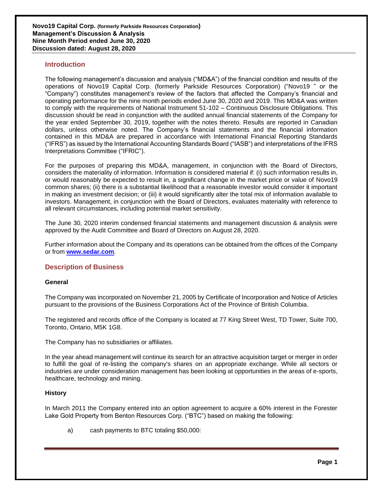## **Introduction**

The following management's discussion and analysis ("MD&A") of the financial condition and results of the operations of Novo19 Capital Corp. (formerly Parkside Resources Corporation) ("Novo19 " or the "Company") constitutes management's review of the factors that affected the Company's financial and operating performance for the nine month periods ended June 30, 2020 and 2019. This MD&A was written to comply with the requirements of National Instrument 51-102 – Continuous Disclosure Obligations. This discussion should be read in conjunction with the audited annual financial statements of the Company for the year ended September 30, 2019, together with the notes thereto. Results are reported in Canadian dollars, unless otherwise noted. The Company's financial statements and the financial information contained in this MD&A are prepared in accordance with International Financial Reporting Standards ("IFRS") as issued by the International Accounting Standards Board ("IASB") and interpretations of the IFRS Interpretations Committee ("IFRIC").

For the purposes of preparing this MD&A, management, in conjunction with the Board of Directors, considers the materiality of information. Information is considered material if: (i) such information results in, or would reasonably be expected to result in, a significant change in the market price or value of Novo19 common shares; (ii) there is a substantial likelihood that a reasonable investor would consider it important in making an investment decision; or (iii) it would significantly alter the total mix of information available to investors. Management, in conjunction with the Board of Directors, evaluates materiality with reference to all relevant circumstances, including potential market sensitivity.

The June 30, 2020 interim condensed financial statements and management discussion & analysis were approved by the Audit Committee and Board of Directors on August 28, 2020.

Further information about the Company and its operations can be obtained from the offices of the Company or from **[www.sedar.com](http://www.sedar.com/)**.

#### **Description of Business**

#### **General**

The Company was incorporated on November 21, 2005 by Certificate of Incorporation and Notice of Articles pursuant to the provisions of the Business Corporations Act of the Province of British Columbia.

The registered and records office of the Company is located at 77 King Street West, TD Tower, Suite 700, Toronto, Ontario, M5K 1G8.

The Company has no subsidiaries or affiliates.

In the year ahead management will continue its search for an attractive acquisition target or merger in order to fulfill the goal of re-listing the company's shares on an appropriate exchange. While all sectors or industries are under consideration management has been looking at opportunities in the areas of e-sports, healthcare, technology and mining.

#### **History**

In March 2011 the Company entered into an option agreement to acquire a 60% interest in the Forester Lake Gold Property from Benton Resources Corp. ("BTC") based on making the following:

a) cash payments to BTC totaling \$50,000: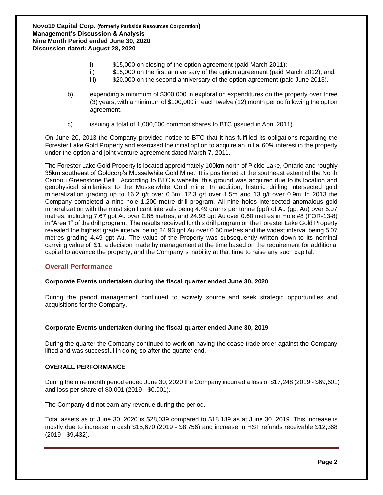- i) \$15,000 on closing of the option agreement (paid March 2011);
- ii) \$15,000 on the first anniversary of the option agreement (paid March 2012), and;
- iii) \$20,000 on the second anniversary of the option agreement (paid June 2013).
- b) expending a minimum of \$300,000 in exploration expenditures on the property over three (3) years, with a minimum of \$100,000 in each twelve (12) month period following the option agreement.
- c) issuing a total of 1,000,000 common shares to BTC (issued in April 2011).

On June 20, 2013 the Company provided notice to BTC that it has fulfilled its obligations regarding the Forester Lake Gold Property and exercised the initial option to acquire an initial 60% interest in the property under the option and joint venture agreement dated March 7, 2011.

The Forester Lake Gold Property is located approximately 100km north of Pickle Lake, Ontario and roughly 35km southeast of Goldcorp's Musselwhite Gold Mine. It is positioned at the southeast extent of the North Caribou Greenstone Belt. According to BTC's website, this ground was acquired due to its location and geophysical similarities to the Musselwhite Gold mine. In addition, historic drilling intersected gold mineralization grading up to 16.2 g/t over 0.5m, 12.3 g/t over 1.5m and 13 g/t over 0.9m. In 2013 the Company completed a nine hole 1,200 metre drill program. All nine holes intersected anomalous gold mineralization with the most significant intervals being 4.49 grams per tonne (gpt) of Au (gpt Au) over 5.07 metres, including 7.67 gpt Au over 2.85 metres, and 24.93 gpt Au over 0.60 metres in Hole #8 (FOR-13-8) in "Area 1" of the drill program. The results received for this drill program on the Forester Lake Gold Property revealed the highest grade interval being 24.93 gpt Au over 0.60 metres and the widest interval being 5.07 metres grading 4.49 gpt Au. The value of the Property was subsequently written down to its nominal carrying value of \$1, a decision made by management at the time based on the requirement for additional capital to advance the property, and the Company`s inability at that time to raise any such capital.

# **Overall Performance**

#### **Corporate Events undertaken during the fiscal quarter ended June 30, 2020**

During the period management continued to actively source and seek strategic opportunities and acquisitions for the Company.

#### **Corporate Events undertaken during the fiscal quarter ended June 30, 2019**

During the quarter the Company continued to work on having the cease trade order against the Company lifted and was successful in doing so after the quarter end.

#### **OVERALL PERFORMANCE**

During the nine month period ended June 30, 2020 the Company incurred a loss of \$17,248 (2019 - \$69,601) and loss per share of \$0.001 (2019 - \$0.001).

The Company did not earn any revenue during the period.

Total assets as of June 30, 2020 is \$28,039 compared to \$18,189 as at June 30, 2019. This increase is mostly due to increase in cash \$15,670 (2019 - \$8,756) and increase in HST refunds receivable \$12,368 (2019 - \$9,432).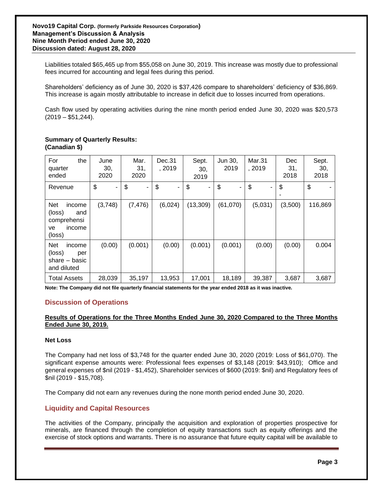Liabilities totaled \$65,465 up from \$55,058 on June 30, 2019. This increase was mostly due to professional fees incurred for accounting and legal fees during this period.

Shareholders' deficiency as of June 30, 2020 is \$37,426 compare to shareholders' deficiency of \$36,869. This increase is again mostly attributable to increase in deficit due to losses incurred from operations.

Cash flow used by operating activities during the nine month period ended June 30, 2020 was \$20,573  $(2019 - $51,244)$ .

| the<br>For<br>quarter<br>ended                                                 | June<br>30,<br>2020  | Mar.<br>31,<br>2020 | Dec.31<br>, 2019 | Sept.<br>30,<br>2019 | Jun 30,<br>2019 | Mar.31<br>, 2019 | <b>Dec</b><br>31,<br>2018 | Sept.<br>30,<br>2018 |
|--------------------------------------------------------------------------------|----------------------|---------------------|------------------|----------------------|-----------------|------------------|---------------------------|----------------------|
| Revenue                                                                        | \$<br>$\blacksquare$ | \$<br>۰             | \$<br>Ξ.         | \$<br>۰.             | \$<br>۰         | \$<br>٠          | \$                        | \$                   |
| <b>Net</b><br>income<br>(loss)<br>and<br>comprehensi<br>income<br>ve<br>(loss) | (3,748)              | (7, 476)            | (6,024)          | (13,309)             | (61,070)        | (5,031)          | (3,500)                   | 116,869              |
| <b>Net</b><br>income<br>(loss)<br>per<br>share – basic<br>and diluted          | (0.00)               | (0.001)             | (0.00)           | (0.001)              | (0.001)         | (0.00)           | (0.00)                    | 0.004                |
| <b>Total Assets</b>                                                            | 28,039               | 35,197              | 13,953           | 17,001               | 18,189          | 39,387           | 3,687                     | 3,687                |

#### **Summary of Quarterly Results: (Canadian \$)**

**Note: The Company did not file quarterly financial statements for the year ended 2018 as it was inactive.**

# **Discussion of Operations**

## **Results of Operations for the Three Months Ended June 30, 2020 Compared to the Three Months Ended June 30, 2019.**

#### **Net Loss**

The Company had net loss of \$3,748 for the quarter ended June 30, 2020 (2019: Loss of \$61,070). The significant expense amounts were: Professional fees expenses of \$3,148 (2019: \$43,910); Office and general expenses of \$nil (2019 - \$1,452), Shareholder services of \$600 (2019: \$nil) and Regulatory fees of \$nil (2019 - \$15,708).

The Company did not earn any revenues during the none month period ended June 30, 2020.

# **Liquidity and Capital Resources**

The activities of the Company, principally the acquisition and exploration of properties prospective for minerals, are financed through the completion of equity transactions such as equity offerings and the exercise of stock options and warrants. There is no assurance that future equity capital will be available to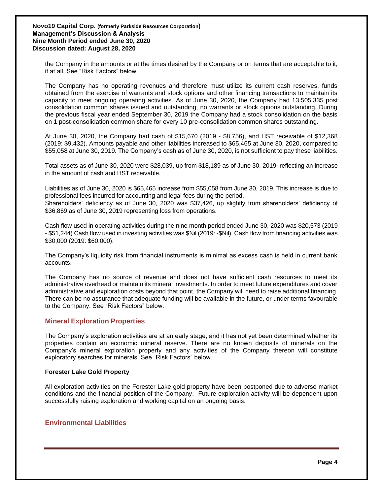the Company in the amounts or at the times desired by the Company or on terms that are acceptable to it, if at all. See "Risk Factors" below.

The Company has no operating revenues and therefore must utilize its current cash reserves, funds obtained from the exercise of warrants and stock options and other financing transactions to maintain its capacity to meet ongoing operating activities. As of June 30, 2020, the Company had 13,505,335 post consolidation common shares issued and outstanding, no warrants or stock options outstanding. During the previous fiscal year ended September 30, 2019 the Company had a stock consolidation on the basis on 1 post-consolidation common share for every 10 pre-consolidation common shares outstanding.

At June 30, 2020, the Company had cash of \$15,670 (2019 - \$8,756), and HST receivable of \$12,368 (2019: \$9,432). Amounts payable and other liabilities increased to \$65,465 at June 30, 2020, compared to \$55,058 at June 30, 2019. The Company's cash as of June 30, 2020, is not sufficient to pay these liabilities.

Total assets as of June 30, 2020 were \$28,039, up from \$18,189 as of June 30, 2019, reflecting an increase in the amount of cash and HST receivable.

Liabilities as of June 30, 2020 is \$65,465 increase from \$55,058 from June 30, 2019. This increase is due to professional fees incurred for accounting and legal fees during the period.

Shareholders' deficiency as of June 30, 2020 was \$37,426, up slightly from shareholders' deficiency of \$36,869 as of June 30, 2019 representing loss from operations.

Cash flow used in operating activities during the nine month period ended June 30, 2020 was \$20,573 (2019 - \$51,244) Cash flow used in investing activities was \$Nil (2019: -\$Nil). Cash flow from financing activities was \$30,000 (2019: \$60,000).

The Company's liquidity risk from financial instruments is minimal as excess cash is held in current bank accounts.

The Company has no source of revenue and does not have sufficient cash resources to meet its administrative overhead or maintain its mineral investments. In order to meet future expenditures and cover administrative and exploration costs beyond that point, the Company will need to raise additional financing. There can be no assurance that adequate funding will be available in the future, or under terms favourable to the Company. See "Risk Factors" below.

# **Mineral Exploration Properties**

The Company's exploration activities are at an early stage, and it has not yet been determined whether its properties contain an economic mineral reserve. There are no known deposits of minerals on the Company's mineral exploration property and any activities of the Company thereon will constitute exploratory searches for minerals. See "Risk Factors" below.

#### **Forester Lake Gold Property**

All exploration activities on the Forester Lake gold property have been postponed due to adverse market conditions and the financial position of the Company. Future exploration activity will be dependent upon successfully raising exploration and working capital on an ongoing basis.

# **Environmental Liabilities**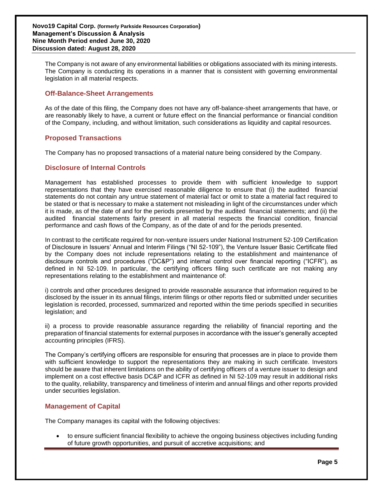The Company is not aware of any environmental liabilities or obligations associated with its mining interests. The Company is conducting its operations in a manner that is consistent with governing environmental legislation in all material respects.

# **Off-Balance-Sheet Arrangements**

As of the date of this filing, the Company does not have any off-balance-sheet arrangements that have, or are reasonably likely to have, a current or future effect on the financial performance or financial condition of the Company, including, and without limitation, such considerations as liquidity and capital resources.

## **Proposed Transactions**

The Company has no proposed transactions of a material nature being considered by the Company.

## **Disclosure of Internal Controls**

Management has established processes to provide them with sufficient knowledge to support representations that they have exercised reasonable diligence to ensure that (i) the audited financial statements do not contain any untrue statement of material fact or omit to state a material fact required to be stated or that is necessary to make a statement not misleading in light of the circumstances under which it is made, as of the date of and for the periods presented by the audited financial statements; and (ii) the audited financial statements fairly present in all material respects the financial condition, financial performance and cash flows of the Company, as of the date of and for the periods presented.

In contrast to the certificate required for non-venture issuers under National Instrument 52-109 Certification of Disclosure in Issuers' Annual and Interim Filings ("NI 52-109"), the Venture Issuer Basic Certificate filed by the Company does not include representations relating to the establishment and maintenance of disclosure controls and procedures ("DC&P") and internal control over financial reporting ("ICFR"), as defined in NI 52-109. In particular, the certifying officers filing such certificate are not making any representations relating to the establishment and maintenance of:

i) controls and other procedures designed to provide reasonable assurance that information required to be disclosed by the issuer in its annual filings, interim filings or other reports filed or submitted under securities legislation is recorded, processed, summarized and reported within the time periods specified in securities legislation; and

ii) a process to provide reasonable assurance regarding the reliability of financial reporting and the preparation of financial statements for external purposes in accordance with the issuer's generally accepted accounting principles (IFRS).

The Company's certifying officers are responsible for ensuring that processes are in place to provide them with sufficient knowledge to support the representations they are making in such certificate. Investors should be aware that inherent limitations on the ability of certifying officers of a venture issuer to design and implement on a cost effective basis DC&P and ICFR as defined in NI 52-109 may result in additional risks to the quality, reliability, transparency and timeliness of interim and annual filings and other reports provided under securities legislation.

# **Management of Capital**

The Company manages its capital with the following objectives:

• to ensure sufficient financial flexibility to achieve the ongoing business objectives including funding of future growth opportunities, and pursuit of accretive acquisitions; and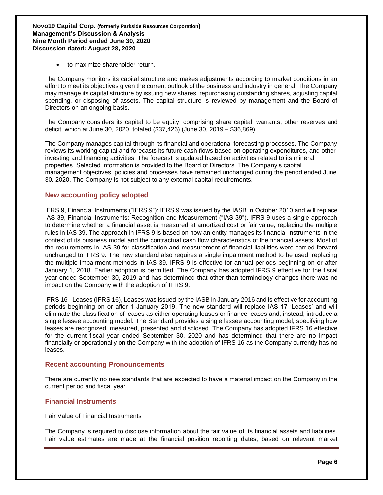• to maximize shareholder return.

The Company monitors its capital structure and makes adjustments according to market conditions in an effort to meet its objectives given the current outlook of the business and industry in general. The Company may manage its capital structure by issuing new shares, repurchasing outstanding shares, adjusting capital spending, or disposing of assets. The capital structure is reviewed by management and the Board of Directors on an ongoing basis.

The Company considers its capital to be equity, comprising share capital, warrants, other reserves and deficit, which at June 30, 2020, totaled (\$37,426) (June 30, 2019 – \$36,869).

The Company manages capital through its financial and operational forecasting processes. The Company reviews its working capital and forecasts its future cash flows based on operating expenditures, and other investing and financing activities. The forecast is updated based on activities related to its mineral properties. Selected information is provided to the Board of Directors. The Company's capital management objectives, policies and processes have remained unchanged during the period ended June 30, 2020. The Company is not subject to any external capital requirements.

## **New accounting policy adopted**

IFRS 9, Financial Instruments ("IFRS 9"): IFRS 9 was issued by the IASB in October 2010 and will replace IAS 39, Financial Instruments: Recognition and Measurement ("IAS 39"). IFRS 9 uses a single approach to determine whether a financial asset is measured at amortized cost or fair value, replacing the multiple rules in IAS 39. The approach in IFRS 9 is based on how an entity manages its financial instruments in the context of its business model and the contractual cash flow characteristics of the financial assets. Most of the requirements in IAS 39 for classification and measurement of financial liabilities were carried forward unchanged to IFRS 9. The new standard also requires a single impairment method to be used, replacing the multiple impairment methods in IAS 39. IFRS 9 is effective for annual periods beginning on or after January 1, 2018. Earlier adoption is permitted. The Company has adopted IFRS 9 effective for the fiscal year ended September 30, 2019 and has determined that other than terminology changes there was no impact on the Company with the adoption of IFRS 9.

IFRS 16 - Leases (IFRS 16), Leases was issued by the IASB in January 2016 and is effective for accounting periods beginning on or after 1 January 2019. The new standard will replace IAS 17 'Leases' and will eliminate the classification of leases as either operating leases or finance leases and, instead, introduce a single lessee accounting model. The Standard provides a single lessee accounting model, specifying how leases are recognized, measured, presented and disclosed. The Company has adopted IFRS 16 effective for the current fiscal year ended September 30, 2020 and has determined that there are no impact financially or operationally on the Company with the adoption of IFRS 16 as the Company currently has no leases.

#### **Recent accounting Pronouncements**

There are currently no new standards that are expected to have a material impact on the Company in the current period and fiscal year.

#### **Financial Instruments**

#### Fair Value of Financial Instruments

The Company is required to disclose information about the fair value of its financial assets and liabilities. Fair value estimates are made at the financial position reporting dates, based on relevant market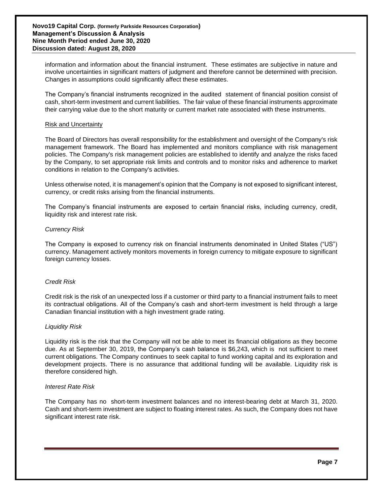information and information about the financial instrument. These estimates are subjective in nature and involve uncertainties in significant matters of judgment and therefore cannot be determined with precision. Changes in assumptions could significantly affect these estimates.

The Company's financial instruments recognized in the audited statement of financial position consist of cash, short-term investment and current liabilities. The fair value of these financial instruments approximate their carrying value due to the short maturity or current market rate associated with these instruments.

#### Risk and Uncertainty

The Board of Directors has overall responsibility for the establishment and oversight of the Company's risk management framework. The Board has implemented and monitors compliance with risk management policies. The Company's risk management policies are established to identify and analyze the risks faced by the Company, to set appropriate risk limits and controls and to monitor risks and adherence to market conditions in relation to the Company's activities.

Unless otherwise noted, it is management's opinion that the Company is not exposed to significant interest, currency, or credit risks arising from the financial instruments.

The Company's financial instruments are exposed to certain financial risks, including currency, credit, liquidity risk and interest rate risk.

#### *Currency Risk*

The Company is exposed to currency risk on financial instruments denominated in United States ("US") currency. Management actively monitors movements in foreign currency to mitigate exposure to significant foreign currency losses.

## *Credit Risk*

Credit risk is the risk of an unexpected loss if a customer or third party to a financial instrument fails to meet its contractual obligations. All of the Company's cash and short-term investment is held through a large Canadian financial institution with a high investment grade rating.

#### *Liquidity Risk*

Liquidity risk is the risk that the Company will not be able to meet its financial obligations as they become due. As at September 30, 2019, the Company's cash balance is \$6,243, which is not sufficient to meet current obligations. The Company continues to seek capital to fund working capital and its exploration and development projects. There is no assurance that additional funding will be available. Liquidity risk is therefore considered high.

#### *Interest Rate Risk*

The Company has no short-term investment balances and no interest-bearing debt at March 31, 2020. Cash and short-term investment are subject to floating interest rates. As such, the Company does not have significant interest rate risk.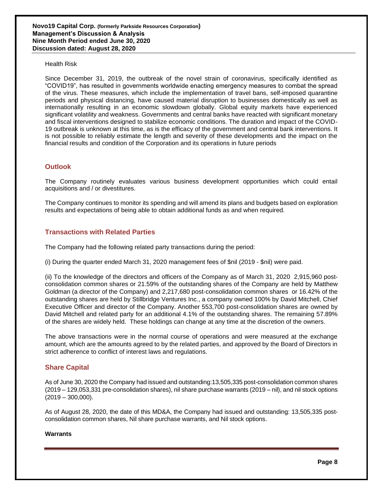Health Risk

Since December 31, 2019, the outbreak of the novel strain of coronavirus, specifically identified as "COVID19", has resulted in governments worldwide enacting emergency measures to combat the spread of the virus. These measures, which include the implementation of travel bans, self-imposed quarantine periods and physical distancing, have caused material disruption to businesses domestically as well as internationally resulting in an economic slowdown globally. Global equity markets have experienced significant volatility and weakness. Governments and central banks have reacted with significant monetary and fiscal interventions designed to stabilize economic conditions. The duration and impact of the COVID-19 outbreak is unknown at this time, as is the efficacy of the government and central bank interventions. It is not possible to reliably estimate the length and severity of these developments and the impact on the financial results and condition of the Corporation and its operations in future periods

# **Outlook**

The Company routinely evaluates various business development opportunities which could entail acquisitions and / or divestitures.

The Company continues to monitor its spending and will amend its plans and budgets based on exploration results and expectations of being able to obtain additional funds as and when required.

# **Transactions with Related Parties**

The Company had the following related party transactions during the period:

(i) During the quarter ended March 31, 2020 management fees of \$nil (2019 - \$nil) were paid.

(ii) To the knowledge of the directors and officers of the Company as of March 31, 2020 2,915,960 postconsolidation common shares or 21.59% of the outstanding shares of the Company are held by Matthew Goldman (a director of the Company) and 2,217,680 post-consolidation common shares or 16.42% of the outstanding shares are held by Stillbridge Ventures Inc., a company owned 100% by David Mitchell, Chief Executive Officer and director of the Company. Another 553,700 post-consolidation shares are owned by David Mitchell and related party for an additional 4.1% of the outstanding shares. The remaining 57.89% of the shares are widely held. These holdings can change at any time at the discretion of the owners.

The above transactions were in the normal course of operations and were measured at the exchange amount, which are the amounts agreed to by the related parties, and approved by the Board of Directors in strict adherence to conflict of interest laws and regulations.

# **Share Capital**

As of June 30, 2020 the Company had issued and outstanding:13,505,335 post-consolidation common shares (2019 – 129,053,331 pre-consolidation shares), nil share purchase warrants (2019 – nil), and nil stock options  $(2019 - 300,000)$ .

As of August 28, 2020, the date of this MD&A, the Company had issued and outstanding: 13,505,335 postconsolidation common shares, Nil share purchase warrants, and Nil stock options.

#### **Warrants**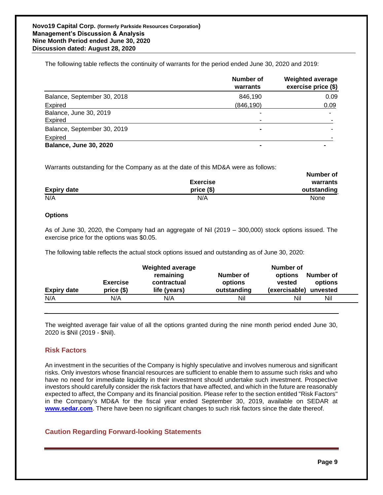The following table reflects the continuity of warrants for the period ended June 30, 2020 and 2019:

|                               | Number of<br>warrants | <b>Weighted average</b><br>exercise price (\$) |
|-------------------------------|-----------------------|------------------------------------------------|
| Balance, September 30, 2018   | 846,190               | 0.09                                           |
| Expired                       | (846, 190)            | 0.09                                           |
| Balance, June 30, 2019        | -                     | $\overline{\phantom{0}}$                       |
| <b>Expired</b>                |                       |                                                |
| Balance, September 30, 2019   |                       |                                                |
| Expired                       |                       |                                                |
| <b>Balance, June 30, 2020</b> |                       |                                                |

Warrants outstanding for the Company as at the date of this MD&A were as follows:

|                    |                 | Number of   |
|--------------------|-----------------|-------------|
|                    | <b>Exercise</b> | warrants    |
| <b>Expiry date</b> | $price($)$      | outstanding |
| N/A                | N/A             | None        |

## **Options**

As of June 30, 2020, the Company had an aggregate of Nil (2019 – 300,000) stock options issued. The exercise price for the options was \$0.05.

The following table reflects the actual stock options issued and outstanding as of June 30, 2020:

| <b>Expiry date</b> | <b>Exercise</b><br>$price($)$ | <b>Weighted average</b><br>remaining<br>contractual<br>life (years) | Number of<br>options<br>outstanding | Number of<br>Number of<br>options<br>options<br>vested<br>(exercisable)<br>unvested |
|--------------------|-------------------------------|---------------------------------------------------------------------|-------------------------------------|-------------------------------------------------------------------------------------|
| N/A                | N/A                           | N/A                                                                 | Nil                                 | Nil<br>Nil                                                                          |

The weighted average fair value of all the options granted during the nine month period ended June 30, 2020 is \$Nil (2019 - \$Nil).

# **Risk Factors**

**\_\_**

An investment in the securities of the Company is highly speculative and involves numerous and significant risks. Only investors whose financial resources are sufficient to enable them to assume such risks and who have no need for immediate liquidity in their investment should undertake such investment. Prospective investors should carefully consider the risk factors that have affected, and which in the future are reasonably expected to affect, the Company and its financial position. Please refer to the section entitled "Risk Factors" in the Company's MD&A for the fiscal year ended September 30, 2019, available on SEDAR at **[www.sedar.com](http://www.sedar.com/)**. There have been no significant changes to such risk factors since the date thereof.

# **Caution Regarding Forward-looking Statements**